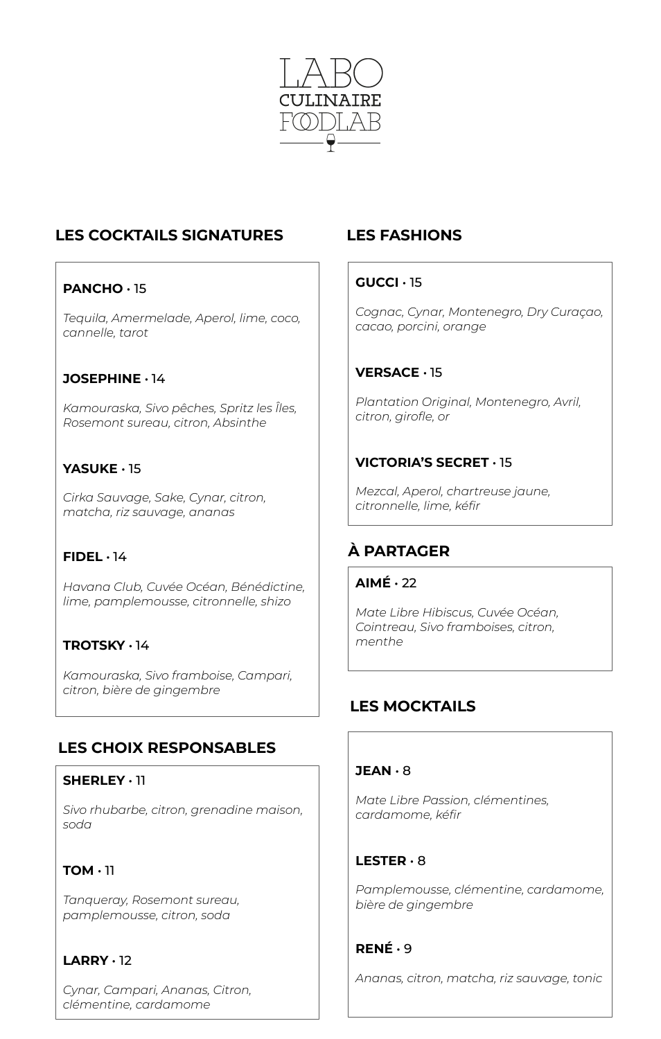

# **LES COCKTAILS SIGNATURES**

## **PANCHO** • 15

*Tequila, Amermelade, Aperol, lime, coco, cannelle, tarot*

#### **JOSEPHINE** • 14

*Kamouraska, Sivo pêches, Spritz les Îles, Rosemont sureau, citron, Absinthe*

## **YASUKE** • 15

*Cirka Sauvage, Sake, Cynar, citron, matcha, riz sauvage, ananas*

#### **FIDEL** • 14

*Havana Club, Cuvée Océan, Bénédictine, lime, pamplemousse, citronnelle, shizo*

### **TROTSKY** • 14

*Kamouraska, Sivo framboise, Campari, citron, bière de gingembre*

## **LES CHOIX RESPONSABLES**

#### **SHERLEY** • 11

*Sivo rhubarbe, citron, grenadine maison, soda*

### **TOM** • 11

*Tanqueray, Rosemont sureau, pamplemousse, citron, soda*

### **LARRY** • 12

*Cynar, Campari, Ananas, Citron, clémentine, cardamome*

# **LES FASHIONS**

#### **GUCCI** • 15

*Cognac, Cynar, Montenegro, Dry Curaçao, cacao, porcini, orange*

### **VERSACE** • 15

*Plantation Original, Montenegro, Avril, citron, girofle, or*

### **VICTORIA'S SECRET** • 15

*Mezcal, Aperol, chartreuse jaune, citronnelle, lime, kéfir*

# **À PARTAGER**

#### **AIMÉ** • 22

*Mate Libre Hibiscus, Cuvée Océan, Cointreau, Sivo framboises, citron, menthe*

## **LES MOCKTAILS**

#### **JEAN** • 8

*Mate Libre Passion, clémentines, cardamome, kéfir*

#### **LESTER** • 8

*Pamplemousse, clémentine, cardamome, bière de gingembre*

### **RENÉ** • 9

*Ananas, citron, matcha, riz sauvage, tonic*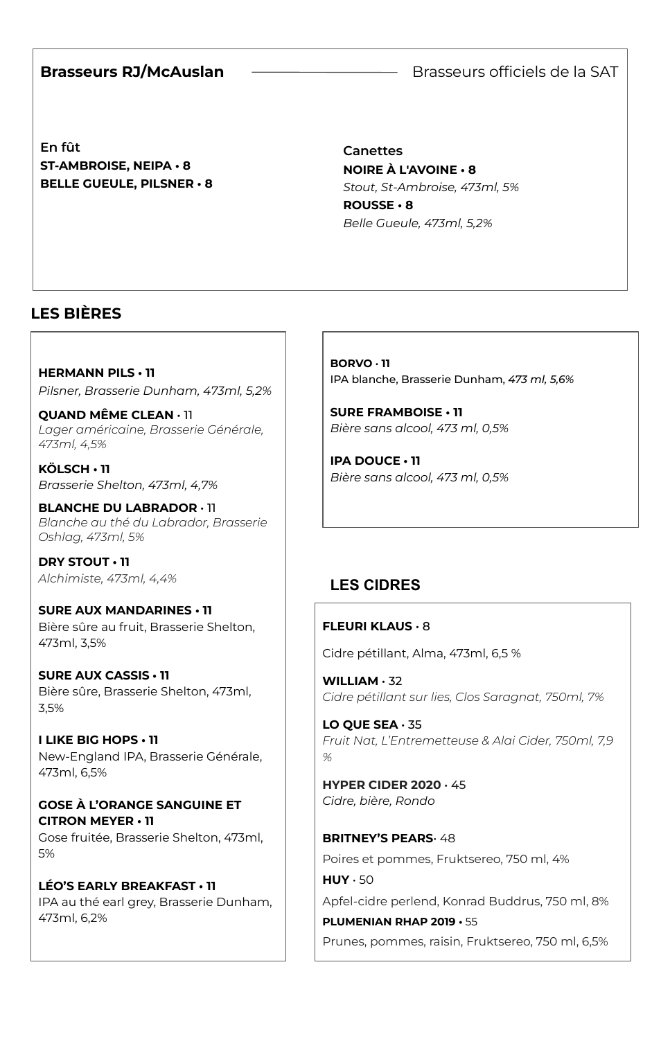#### **Brasseurs RJ/McAuslan**

Brasseurs officiels de la SAT

**En fût ST-AMBROISE, NEIPA • 8 BELLE GUEULE, PILSNER • 8**

**Canettes NOIRE À L'AVOINE • 8** *Stout, St-Ambroise, 473ml, 5%* **ROUSSE • 8** *Belle Gueule, 473ml, 5,2%*

 $\overline{\phantom{a}}$ 

# **LES BIÈRES**

**HERMANN PILS • 11** *Pilsner, Brasserie Dunham, 473ml, 5,2%*

**QUAND MÊME CLEAN** • 11 *Lager américaine, Brasserie Générale, 473ml, 4,5%*

**KÖLSCH • 11** *Brasserie Shelton, 473ml, 4,7%*

**BLANCHE DU LABRADOR** • 11 *Blanche au thé du Labrador, Brasserie Oshlag, 473ml, 5%*

**DRY STOUT • 11** *Alchimiste, 473ml, 4,4%*

**SURE AUX MANDARINES • 11** Bière sûre au fruit, Brasserie Shelton, 473ml, 3,5%

**SURE AUX CASSIS • 11** Bière sûre, Brasserie Shelton, 473ml, 3,5%

**I LIKE BIG HOPS • 11** New-England IPA, Brasserie Générale, 473ml, 6,5%

**GOSE À L'ORANGE SANGUINE ET CITRON MEYER • 11** Gose fruitée, Brasserie Shelton, 473ml, 5%

**LÉO'S EARLY BREAKFAST • 11** IPA au thé earl grey, Brasserie Dunham, 473ml, 6,2%

**BORVO** • **11** IPA blanche, Brasserie Dunham, *473 ml, 5,6%*

**SURE FRAMBOISE • 11** *Bière sans alcool, 473 ml, 0,5%*

**IPA DOUCE • 11** *Bière sans alcool, 473 ml, 0,5%*

# **LES CIDRES**

#### **FLEURI KLAUS** • 8

Cidre pétillant, Alma, 473ml, 6,5 %

**WILLIAM** • 32 *Cidre pétillant sur lies, Clos Saragnat, 750ml, 7%*

**LO QUE SEA** • 35 *Fruit Nat, L'Entremetteuse & Alai Cider, 750ml, 7,9 %*

**HYPER CIDER 2020** • 45 *Cidre, bière, Rondo*

**PLUMENIAN RHAP 2019 •** 55

**BRITNEY'S PEARS** 48 Poires et pommes, Fruktsereo, 750 ml, 4% **HUY** • 50 Apfel-cidre perlend, Konrad Buddrus, 750 ml, 8%

Prunes, pommes, raisin, Fruktsereo, 750 ml, 6,5%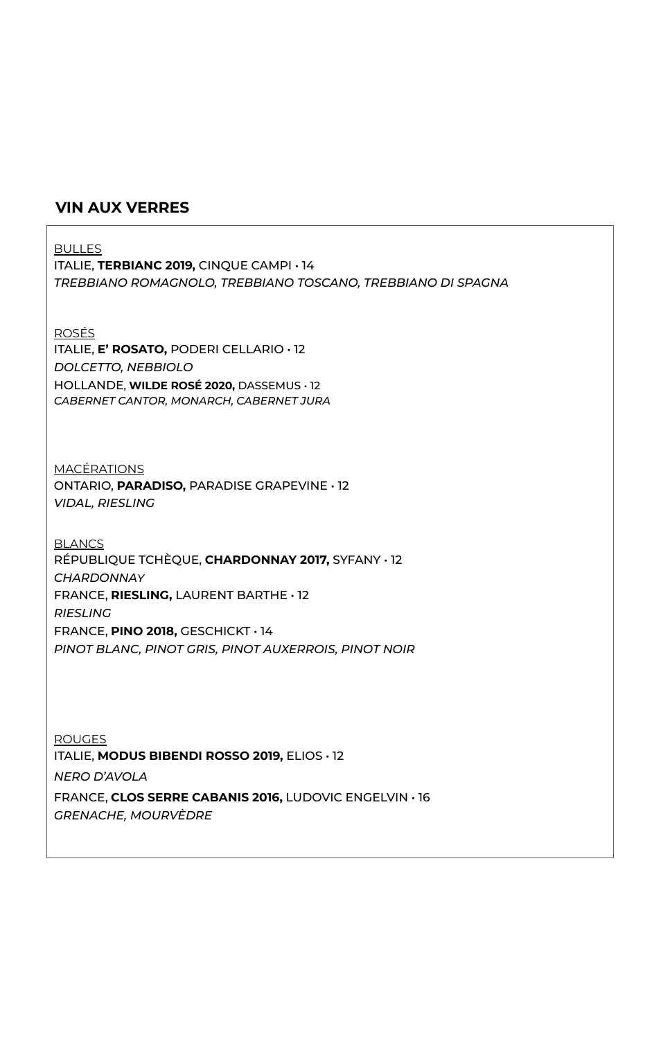#### **VIN AUX VERRES**

BULLES ITALIE, **TERBIANC 2019,** CINQUE CAMPI • 14 *TREBBIANO ROMAGNOLO, TREBBIANO TOSCANO, TREBBIANO DI SPAGNA* ROSÉS ITALIE, **E' ROSATO,** PODERI CELLARIO • 12 *DOLCETTO, NEBBIOLO* HOLLANDE, **WILDE ROSÉ 2020,** DASSEMUS • 12 *CABERNET CANTOR, MONARCH, CABERNET JURA* **MACÉRATIONS** ONTARIO, **PARADISO,** PARADISE GRAPEVINE • 12 *VIDAL, RIESLING* BLANCS RÉPUBLIQUE TCHÈQUE, **CHARDONNAY 2017,** SYFANY • 12 *CHARDONNAY* FRANCE, **RIESLING,** LAURENT BARTHE • 12 *RIESLING* FRANCE, **PINO 2018,** GESCHICKT • 14 *PINOT BLANC, PINOT GRIS, PINOT AUXERROIS, PINOT NOIR* **ROUGES** ITALIE, **MODUS BIBENDI ROSSO 2019,** ELIOS • 12 *NERO D'AVOLA*

FRANCE, **CLOS SERRE CABANIS 2016,** LUDOVIC ENGELVIN • 16 *GRENACHE, MOURVÈDRE*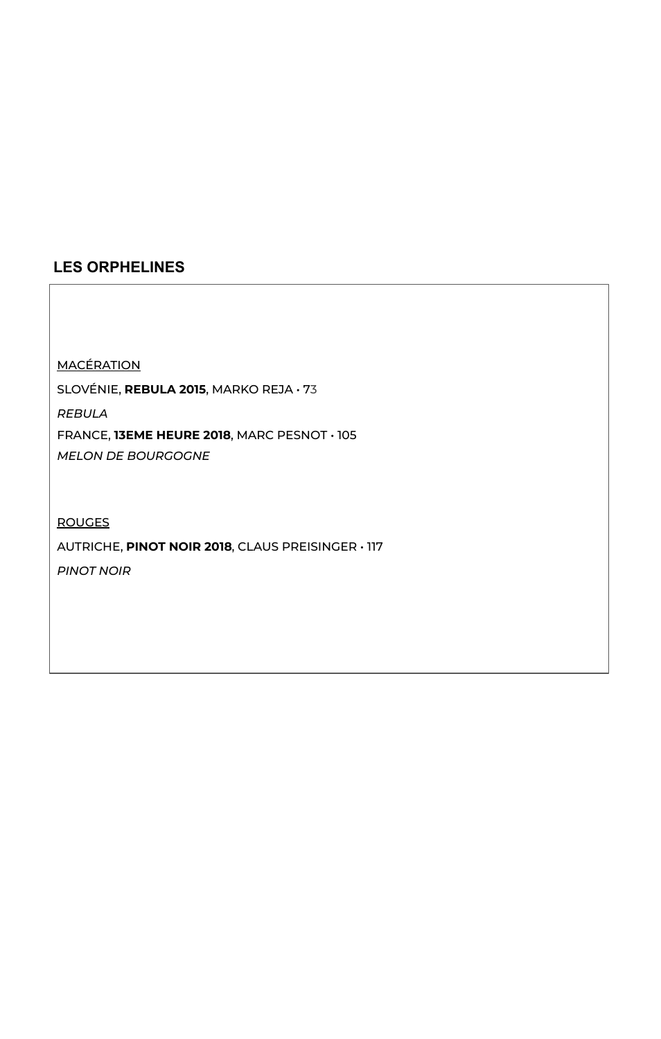# **LES ORPHELINES**

**MACÉRATION** 

SLOVÉNIE, **REBULA 2015**, MARKO REJA • 73

*REBULA* FRANCE, **13EME HEURE 2018**, MARC PESNOT • 105 *MELON DE BOURGOGNE*

#### ROUGES

AUTRICHE, **PINOT NOIR 2018**, CLAUS PREISINGER • 117 *PINOT NOIR*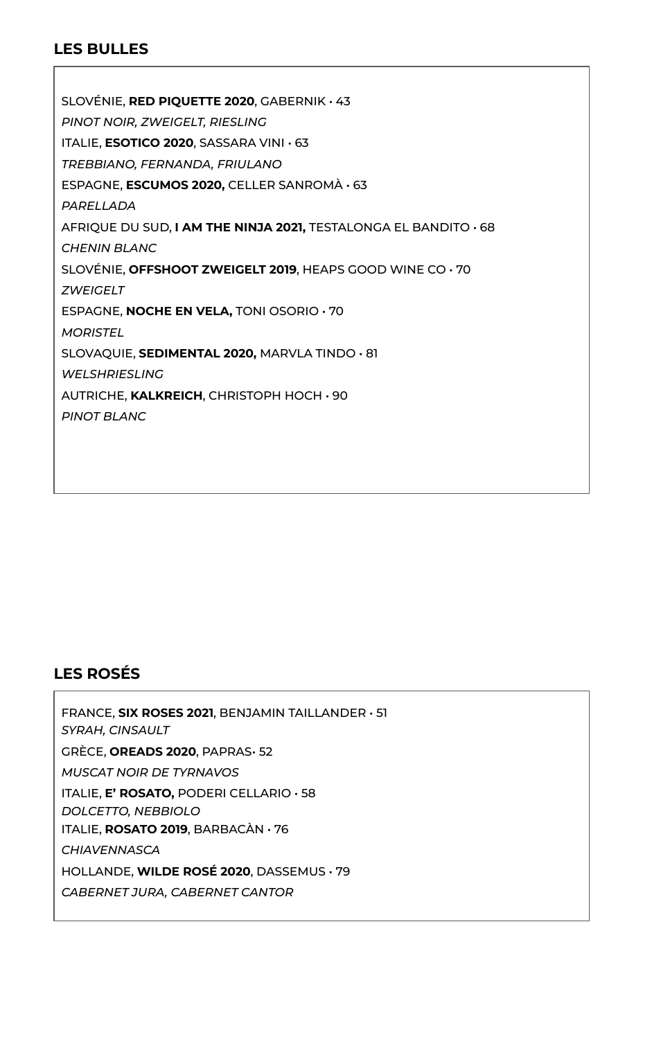## **LES BULLES**

SLOVÉNIE, **RED PIQUETTE 2020**, GABERNIK • 43 *PINOT NOIR, ZWEIGELT, RIESLING* ITALIE, **ESOTICO 2020**, SASSARA VINI • 63 *TREBBIANO, FERNANDA, FRIULANO* ESPAGNE, **ESCUMOS 2020,** CELLER SANROMÀ • 63 *PARELLADA* AFRIQUE DU SUD, **I AM THE NINJA 2021,** TESTALONGA EL BANDITO • 68 *CHENIN BLANC* SLOVÉNIE, **OFFSHOOT ZWEIGELT 2019**, HEAPS GOOD WINE CO • 70 *ZWEIGELT* ESPAGNE, **NOCHE EN VELA,** TONI OSORIO • 70 *MORISTEL* SLOVAQUIE, **SEDIMENTAL 2020,** MARVLA TINDO • 81 *WELSHRIESLING* AUTRICHE, **KALKREICH**, CHRISTOPH HOCH • 90 *PINOT BLANC*

## **LES ROSÉS**

FRANCE, **SIX ROSES 2021**, BENJAMIN TAILLANDER • 51 *SYRAH, CINSAULT* GRÈCE, **OREADS 2020**, PAPRAS• 52 *MUSCAT NOIR DE TYRNAVOS* ITALIE, **E' ROSATO,** PODERI CELLARIO • 58 *DOLCETTO, NEBBIOLO* ITALIE, **ROSATO 2019**, BARBACÀN • 76 *CHIAVENNASCA* HOLLANDE, **WILDE ROSÉ 2020**, DASSEMUS • 79 *CABERNET JURA, CABERNET CANTOR*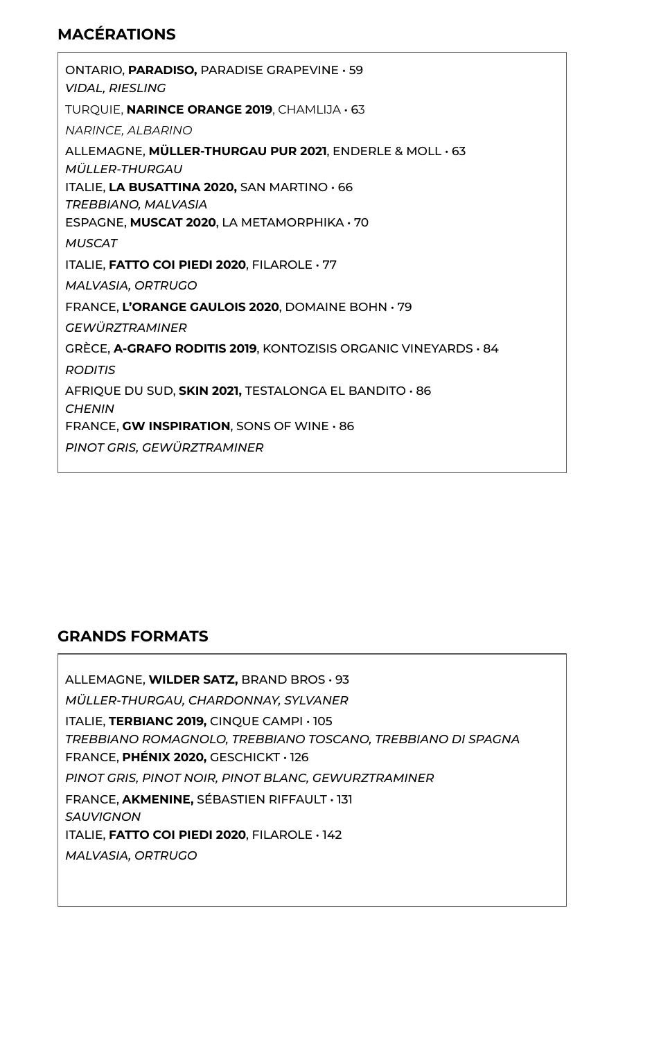# **MACÉRATIONS**

ONTARIO, **PARADISO,** PARADISE GRAPEVINE • 59 *VIDAL, RIESLING* TURQUIE, **NARINCE ORANGE 2019**, CHAMLIJA • 63 *NARINCE, ALBARINO* ALLEMAGNE, **MÜLLER-THURGAU PUR 2021**, ENDERLE & MOLL • 63 *MÜLLER-THURGAU* ITALIE, **LA BUSATTINA 2020,** SAN MARTINO • 66 *TREBBIANO, MALVASIA* ESPAGNE, **MUSCAT 2020**, LA METAMORPHIKA • 70 *MUSCAT* ITALIE, **FATTO COI PIEDI 2020**, FILAROLE • 77 *MALVASIA, ORTRUGO* FRANCE, **L'ORANGE GAULOIS 2020**, DOMAINE BOHN • 79 *GEWÜRZTRAMINER* GRÈCE, **A-GRAFO RODITIS 2019**, KONTOZISIS ORGANIC VINEYARDS • 84 *RODITIS* AFRIQUE DU SUD, **SKIN 2021,** TESTALONGA EL BANDITO • 86 *CHENIN* FRANCE, **GW INSPIRATION**, SONS OF WINE • 86 *PINOT GRIS, GEWÜRZTRAMINER*

## **GRANDS FORMATS**

ALLEMAGNE, **WILDER SATZ,** BRAND BROS • 93 *MÜLLER-THURGAU, CHARDONNAY, SYLVANER* ITALIE, **TERBIANC 2019,** CINQUE CAMPI • 105 *TREBBIANO ROMAGNOLO, TREBBIANO TOSCANO, TREBBIANO DI SPAGNA* FRANCE, **PHÉNIX 2020,** GESCHICKT • 126 *PINOT GRIS, PINOT NOIR, PINOT BLANC, GEWURZTRAMINER* FRANCE, **AKMENINE,** SÉBASTIEN RIFFAULT • 131 *SAUVIGNON*  ITALIE, **FATTO COI PIEDI 2020**, FILAROLE • 142 *MALVASIA, ORTRUGO*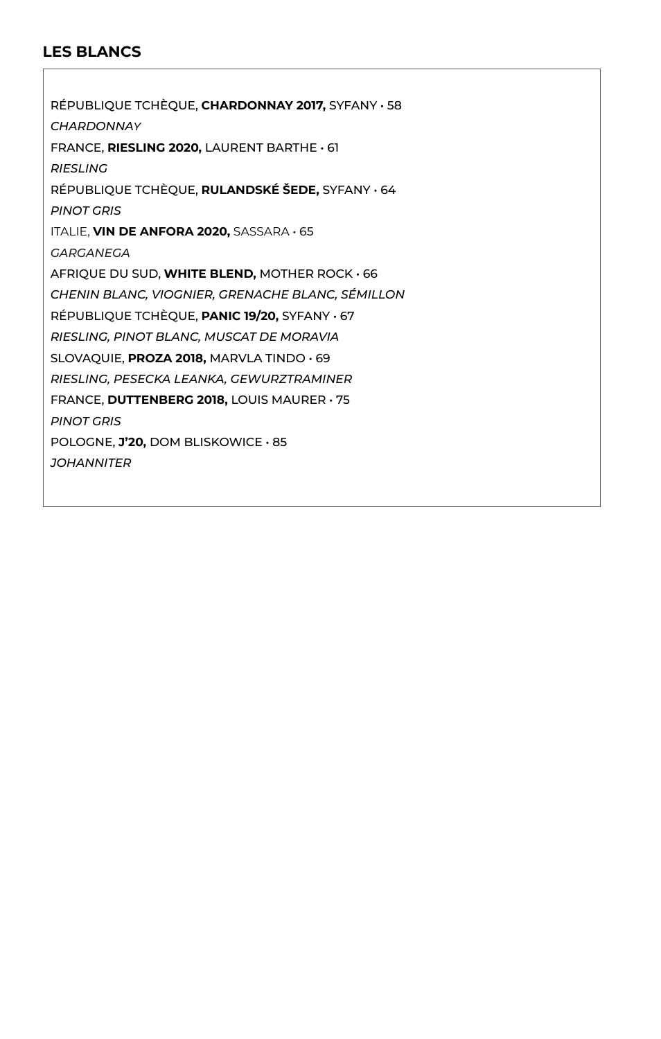# **LES BLANCS**

RÉPUBLIQUE TCHÈQUE, **CHARDONNAY 2017,** SYFANY • 58 *CHARDONNAY* FRANCE, **RIESLING 2020,** LAURENT BARTHE • 61 *RIESLING* RÉPUBLIQUE TCHÈQUE, **RULANDSKÉ ŠEDE,** SYFANY • 64 *PINOT GRIS* ITALIE, **VIN DE ANFORA 2020,** SASSARA • 65 *GARGANEGA* AFRIQUE DU SUD, **WHITE BLEND,** MOTHER ROCK • 66 *CHENIN BLANC, VIOGNIER, GRENACHE BLANC, SÉMILLON* RÉPUBLIQUE TCHÈQUE, **PANIC 19/20,** SYFANY • 67 *RIESLING, PINOT BLANC, MUSCAT DE MORAVIA* SLOVAQUIE, **PROZA 2018,** MARVLA TINDO • 69 *RIESLING, PESECKA LEANKA, GEWURZTRAMINER* FRANCE, **DUTTENBERG 2018,** LOUIS MAURER • 75 *PINOT GRIS* POLOGNE, **J'20,** DOM BLISKOWICE • 85 *JOHANNITER*